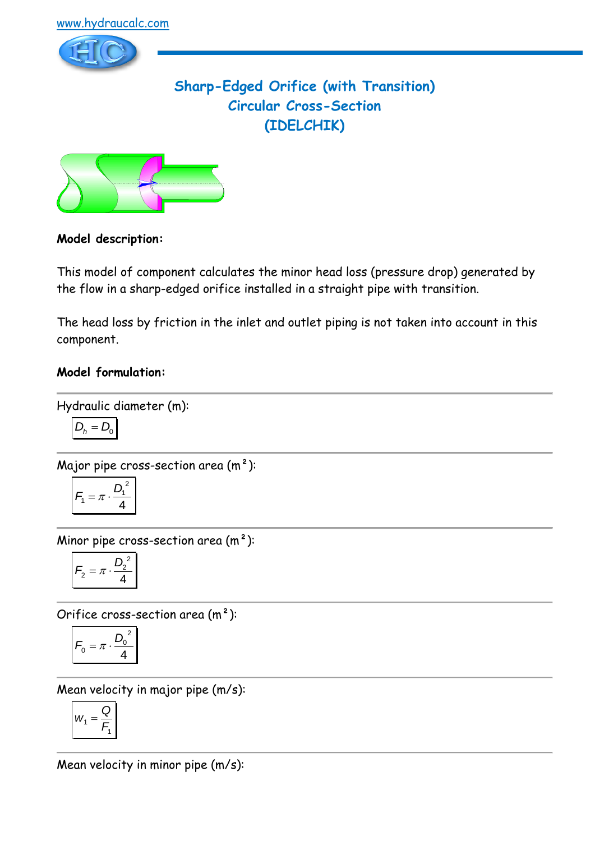

# **Sharp-Edged Orifice (with Transition) Circular Cross-Section (IDELCHIK)**



## **Model description:**

This model of component calculates the minor head loss (pressure drop) generated by the flow in a sharp-edged orifice installed in a straight pipe with transition.

The head loss by friction in the inlet and outlet piping is not taken into account in this component.

## **Model formulation:**

Hydraulic diameter (m):

$$
D_h = D_0
$$

Major pipe cross-section area (m²):

$$
F_1 = \pi \cdot \frac{D_1^2}{4}
$$

Minor pipe cross-section area  $(m<sup>2</sup>)$ :

$$
F_2 = \pi \cdot \frac{D_2^2}{4}
$$

Orifice cross-section area (m²):

$$
F_0 = \pi \cdot \frac{D_0^2}{4}
$$

Mean velocity in major pipe (m/s):

$$
W_1 = \frac{Q}{F_1}
$$

Mean velocity in minor pipe (m/s):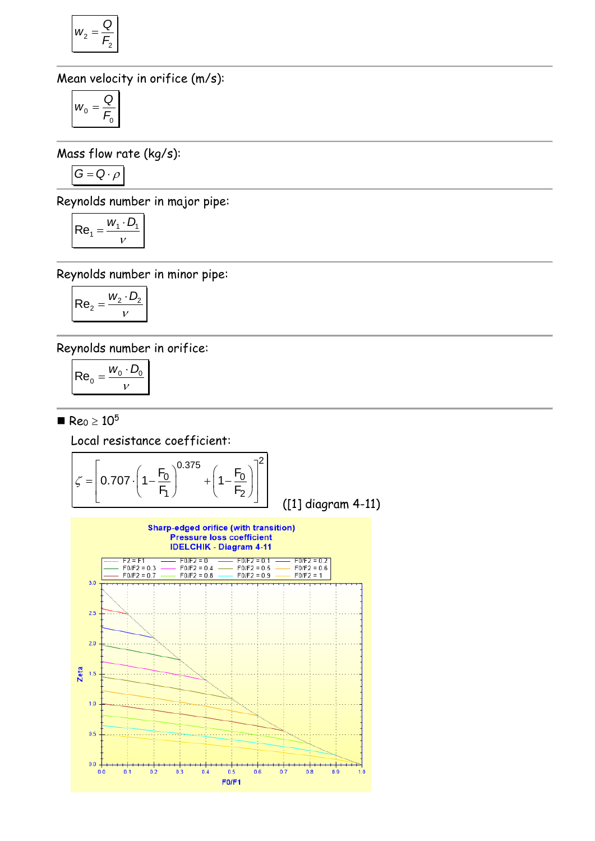$$
W_2 = \frac{Q}{F_2}
$$

Mean velocity in orifice (m/s):

$$
W_0=\frac{Q}{F_0}
$$

Mass flow rate (kg/s):

$$
G = Q \cdot \rho
$$

Reynolds number in major pipe:

$$
Re_1 = \frac{W_1 \cdot D_1}{V}
$$

Reynolds number in minor pipe:

$$
\mathsf{Re}_2 = \frac{w_2 \cdot D_2}{v}
$$

Reynolds number in orifice:

$$
\mathsf{Re}_0 = \frac{W_0 \cdot D_0}{V}
$$

 $Re_0 \ge 10^5$ 

Local resistance coefficient:

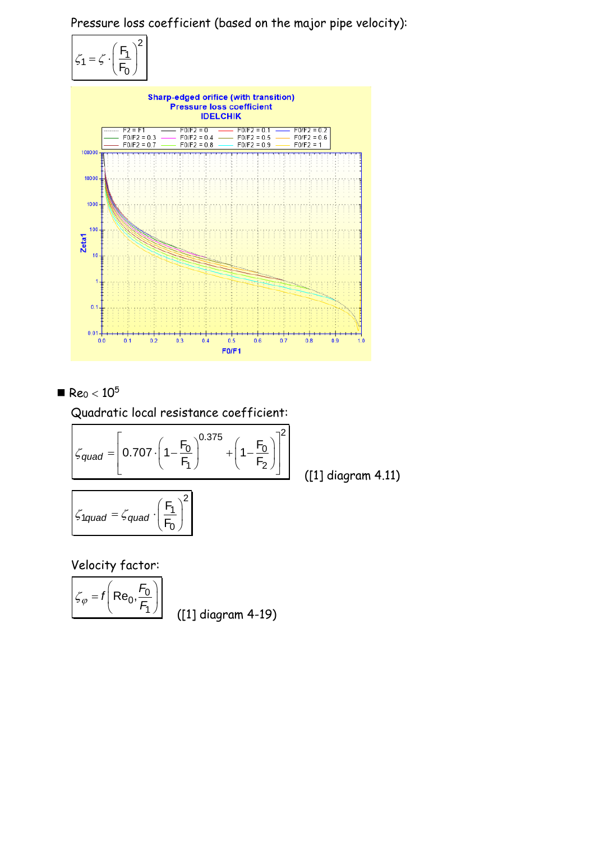Pressure loss coefficient (based on the major pipe velocity):





 $Re_0 < 10^5$ 

Quadratic local resistance coefficient:  
\n
$$
\zeta_{quad} = \left[0.707 \cdot \left(1 - \frac{F_0}{F_1}\right)^{0.375} + \left(1 - \frac{F_0}{F_2}\right)\right]^2
$$
\n(1)

$$
\zeta_{1quad} = \zeta_{quad} \cdot \left(\frac{F_1}{F_0}\right)^2
$$

([1] diagram 4.11)

Velocity factor:

$$
\mathcal{L}_{\varphi} = f\left(\text{Re}_0, \frac{F_0}{F_1}\right)
$$

([1] diagram 4-19)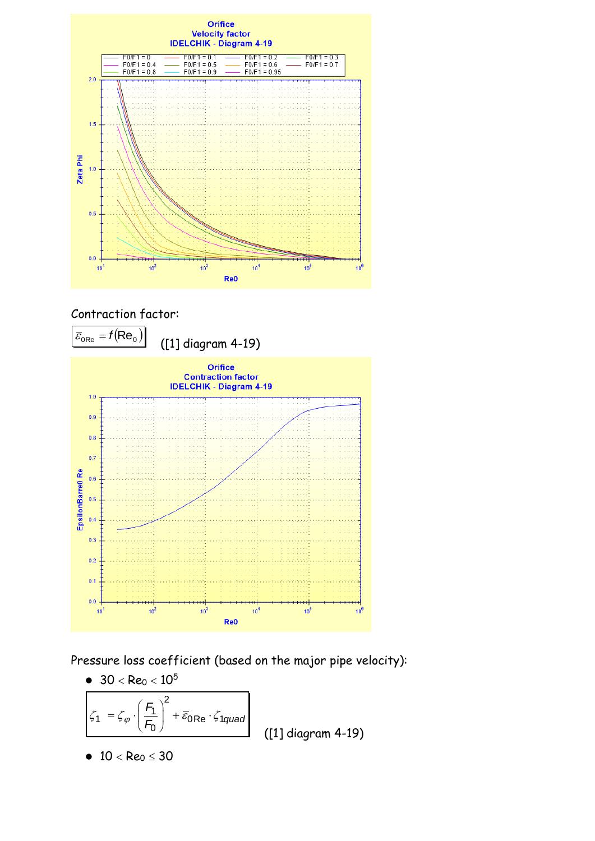

## Contraction factor:



Pressure loss coefficient (based on the major pipe velocity):

\n- 30 < Re<sub>0</sub> < 10<sup>5</sup>
\n- $$
\zeta_1 = \zeta_{\varphi} \cdot \left(\frac{F_1}{F_0}\right)^2 + \bar{\varepsilon}_{0\text{Re}} \cdot \zeta_{1\text{quad}}
$$
\n
	\n- 10 < Re<sub>0</sub> ≤ 30
	\n\n(11 diagram 4-19)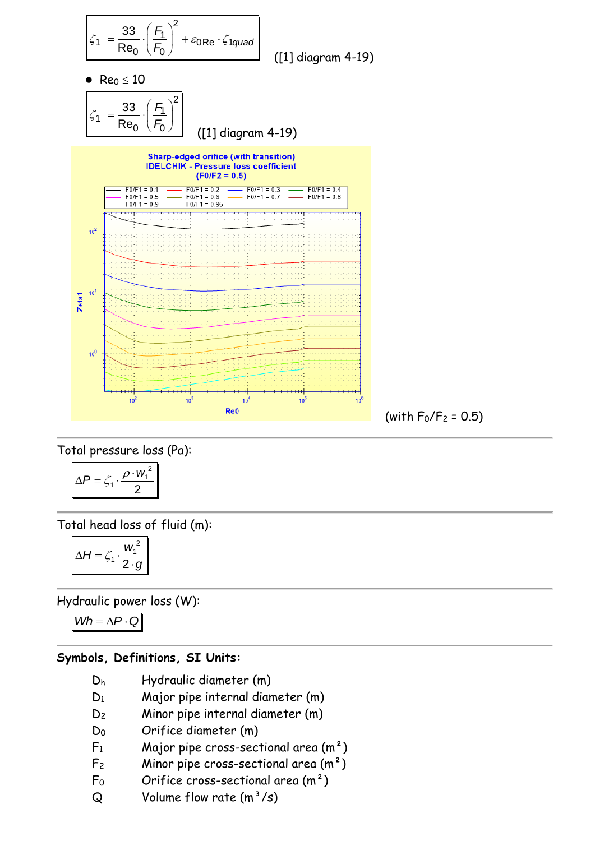

Total pressure loss (Pa):

$$
\Delta P = \zeta_1 \cdot \frac{\rho \cdot w_1^2}{2}
$$

Total head loss of fluid (m):

$$
\Delta H = \zeta_1 \cdot \frac{w_1^2}{2 \cdot g}
$$

Hydraulic power loss (W):

 $Wh = \Delta P \cdot Q$ 

### **Symbols, Definitions, SI Units:**

- D<sup>h</sup> Hydraulic diameter (m)
- D<sup>1</sup> Major pipe internal diameter (m)
- D<sup>2</sup> Minor pipe internal diameter (m)
- D<sup>0</sup> Orifice diameter (m)
- $F_1$  Major pipe cross-sectional area  $(m^2)$
- $F_2$  Minor pipe cross-sectional area  $(m^2)$
- $F_0$  Orifice cross-sectional area  $(m<sup>2</sup>)$
- $Q$  Volume flow rate  $(m^3/s)$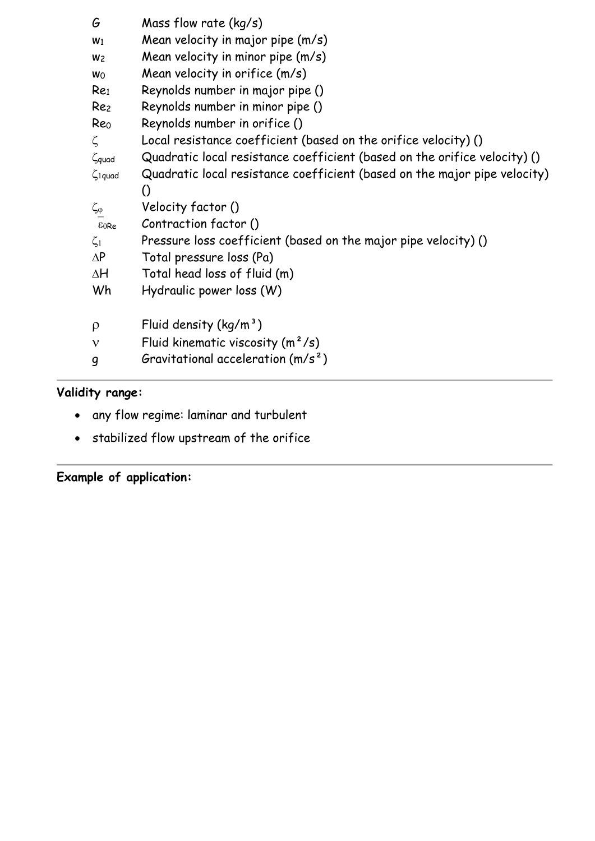| G                        | Mass flow rate $(kq/s)$                                                   |
|--------------------------|---------------------------------------------------------------------------|
| W <sub>1</sub>           | Mean velocity in major pipe (m/s)                                         |
| W <sub>2</sub>           | Mean velocity in minor pipe (m/s)                                         |
| Wo                       | Mean velocity in orifice (m/s)                                            |
| Re <sub>1</sub>          | Reynolds number in major pipe ()                                          |
| Re <sub>2</sub>          | Reynolds number in minor pipe ()                                          |
| Re <sub>0</sub>          | Reynolds number in orifice ()                                             |
| ζ                        | Local resistance coefficient (based on the orifice velocity) ()           |
| $\zeta$ quad             | Quadratic local resistance coefficient (based on the orifice velocity) () |
| $\zeta$ <sub>1quad</sub> | Quadratic local resistance coefficient (based on the major pipe velocity) |
|                          | $\left( \right)$                                                          |
| $\zeta_{\phi}$           | Velocity factor ()                                                        |
| E0Re                     | Contraction factor ()                                                     |
| $\zeta_1$                | Pressure loss coefficient (based on the major pipe velocity) ()           |
| $\Delta P$               | Total pressure loss (Pa)                                                  |
| ΔH                       | Total head loss of fluid (m)                                              |
| Wh                       | Hydraulic power loss (W)                                                  |
|                          |                                                                           |
| $\rho$                   | Fluid density $(kg/m^3)$                                                  |
| $\mathbf v$              | Fluid kinematic viscosity $(m^2/s)$                                       |
| 9                        | Gravitational acceleration $(m/s^2)$                                      |
|                          |                                                                           |

# **Validity range:**

- any flow regime: laminar and turbulent
- stabilized flow upstream of the orifice

**Example of application:**